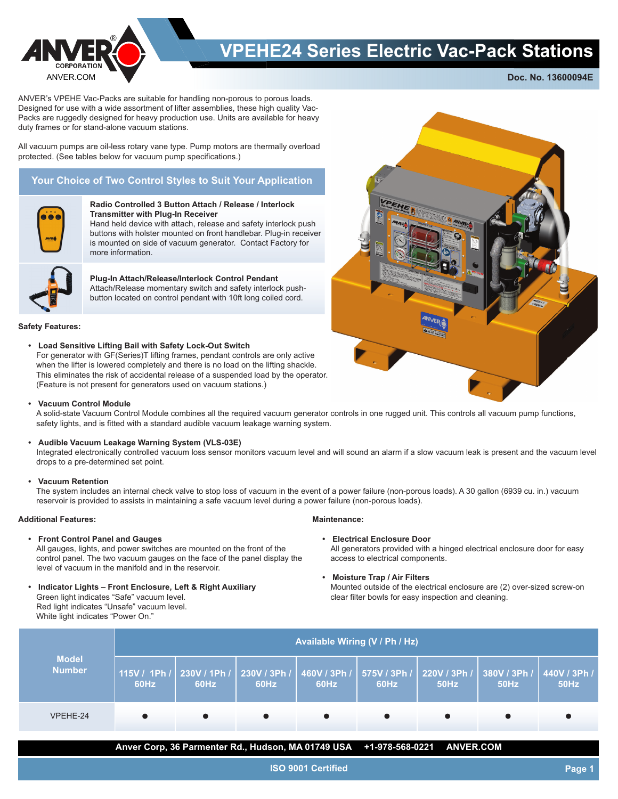

## **VPEHE24 Series Electric Vac-Pack Stations**

**Doc. No. 13600094E**

ANVER's VPEHE Vac-Packs are suitable for handling non-porous to porous loads. Designed for use with a wide assortment of lifter assemblies, these high quality Vac-Packs are ruggedly designed for heavy production use. Units are available for heavy duty frames or for stand-alone vacuum stations.

All vacuum pumps are oil-less rotary vane type. Pump motors are thermally overload protected. (See tables below for vacuum pump specifications.)

### **Your Choice of Two Control Styles to Suit Your Application**



#### **Radio Controlled 3 Button Attach / Release / Interlock Transmitter with Plug-In Receiver**

Hand held device with attach, release and safety interlock push buttons with holster mounted on front handlebar. Plug-in receiver is mounted on side of vacuum generator. Contact Factory for more information.



### **Plug-In Attach/Release/Interlock Control Pendant**

Attach/Release momentary switch and safety interlock pushbutton located on control pendant with 10ft long coiled cord.

#### **Safety Features:**

**• Load Sensitive Lifting Bail with Safety Lock-Out Switch** For generator with GF(Series)T lifting frames, pendant controls are only active when the lifter is lowered completely and there is no load on the lifting shackle. This eliminates the risk of accidental release of a suspended load by the operator. (Feature is not present for generators used on vacuum stations.)

#### **• Vacuum Control Module**

A solid-state Vacuum Control Module combines all the required vacuum generator controls in one rugged unit. This controls all vacuum pump functions, safety lights, and is fitted with a standard audible vacuum leakage warning system.

#### **• Audible Vacuum Leakage Warning System (VLS-03E)**

Integrated electronically controlled vacuum loss sensor monitors vacuum level and will sound an alarm if a slow vacuum leak is present and the vacuum level drops to a pre-determined set point.

#### **• Vacuum Retention**

The system includes an internal check valve to stop loss of vacuum in the event of a power failure (non-porous loads). A 30 gallon (6939 cu. in.) vacuum reservoir is provided to assists in maintaining a safe vacuum level during a power failure (non-porous loads).

#### **Additional Features:**

**• Front Control Panel and Gauges**

All gauges, lights, and power switches are mounted on the front of the control panel. The two vacuum gauges on the face of the panel display the level of vacuum in the manifold and in the reservoir.

**• Indicator Lights – Front Enclosure, Left & Right Auxiliary** Green light indicates "Safe" vacuum level. Red light indicates "Unsafe" vacuum level. White light indicates "Power On."

#### **Maintenance:**

**• Electrical Enclosure Door**

All generators provided with a hinged electrical enclosure door for easy access to electrical components.

**• Moisture Trap / Air Filters**

Mounted outside of the electrical enclosure are (2) over-sized screw-on clear filter bowls for easy inspection and cleaning.

| <b>Model</b><br><b>Number</b> | Available Wiring (V / Ph / Hz) |      |                                  |      |                                   |                   |                                                  |      |  |
|-------------------------------|--------------------------------|------|----------------------------------|------|-----------------------------------|-------------------|--------------------------------------------------|------|--|
|                               | 115V / 1Ph /<br>60Hz           | 60Hz | $230V/1Ph/$ 230V / 3Ph /<br>60Hz | 60Hz | 460V / 3Ph / 575V / 3Ph /<br>60Hz | 220V/3Ph/<br>50Hz | 380V / 3Ph /   440V / 3Ph / <sup> </sup><br>50Hz | 50Hz |  |
| VPEHE-24                      |                                |      |                                  |      |                                   |                   |                                                  |      |  |

**Anver Corp, 36 Parmenter Rd., Hudson, MA 01749 USA +1-978-568-0221 ANVER.COM**

**ISO 9001 Certified**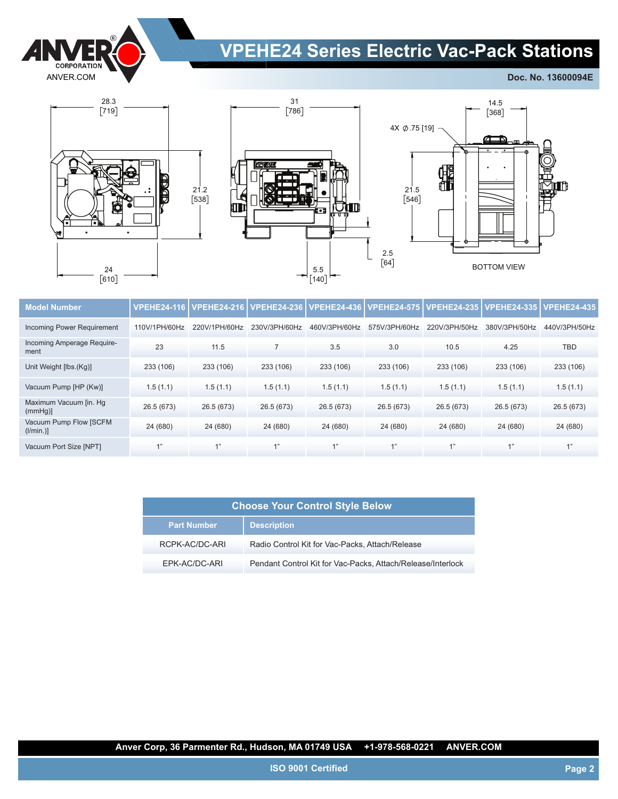

# **VPEHE24 Series Electric Vac-Pack Stations**

**Doc. No. 13600094E**





 31 786



| <b>Model Number</b>                | <b>VPEHE24-116</b> | <b>VPEHE24-216</b> | <b>VPEHE24-236</b> | <b>VPEHE24-436</b> | <b>VPEHE24-575</b> | <b>VPEHE24-235</b> | <b>VPEHE24-335</b> | <b>VPEHE24-435</b> |
|------------------------------------|--------------------|--------------------|--------------------|--------------------|--------------------|--------------------|--------------------|--------------------|
| Incoming Power Requirement         | 110V/1PH/60Hz      | 220V/1PH/60Hz      | 230V/3PH/60Hz      | 460V/3PH/60Hz      | 575V/3PH/60Hz      | 220V/3PH/50Hz      | 380V/3PH/50Hz      | 440V/3PH/50Hz      |
| Incoming Amperage Require-<br>ment | 23                 | 11.5               | $\overline{7}$     | 3.5                | 3.0                | 10.5               | 4.25               | <b>TBD</b>         |
| Unit Weight [lbs.(Kg)]             | 233 (106)          | 233 (106)          | 233 (106)          | 233 (106)          | 233 (106)          | 233 (106)          | 233 (106)          | 233 (106)          |
| Vacuum Pump [HP (Kw)]              | 1.5(1.1)           | 1.5(1.1)           | 1.5(1.1)           | 1.5(1.1)           | 1.5(1.1)           | 1.5(1.1)           | 1.5(1.1)           | 1.5(1.1)           |
| Maximum Vacuum [in. Hq<br>(mmHq)   | 26.5 (673)         | 26.5 (673)         | 26.5 (673)         | 26.5 (673)         | 26.5 (673)         | 26.5 (673)         | 26.5 (673)         | 26.5 (673)         |
| Vacuum Pump Flow [SCFM<br>(1/min.) | 24 (680)           | 24 (680)           | 24 (680)           | 24 (680)           | 24 (680)           | 24 (680)           | 24 (680)           | 24 (680)           |
| Vacuum Port Size [NPT]             | 1"                 | 411                | 4"                 | 1"                 | 1"                 | 4"                 | 4"                 | 1"                 |

| <b>Choose Your Control Style Below</b> |                                                             |  |  |  |
|----------------------------------------|-------------------------------------------------------------|--|--|--|
| <b>Part Number</b>                     | <b>Description</b>                                          |  |  |  |
| RCPK-AC/DC-ARI                         | Radio Control Kit for Vac-Packs, Attach/Release             |  |  |  |
| EPK-AC/DC-ARI                          | Pendant Control Kit for Vac-Packs, Attach/Release/Interlock |  |  |  |

**Anver Corp, 36 Parmenter Rd., Hudson, MA 01749 USA +1-978-568-0221 ANVER.COM**